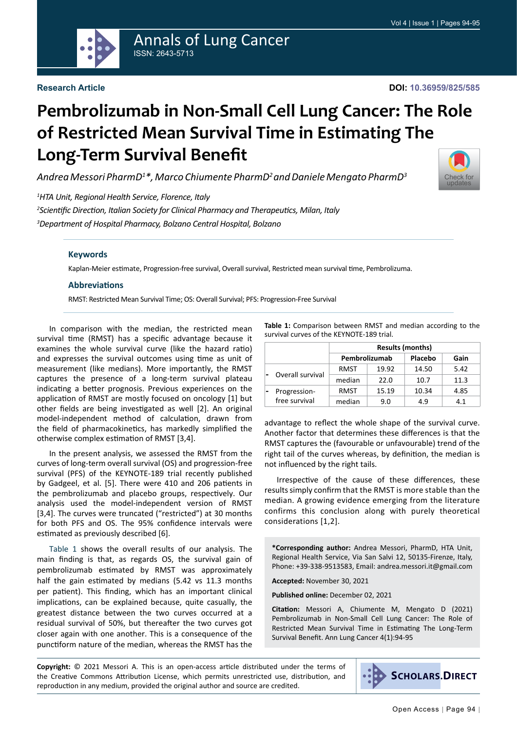

# Annals of Lung Cancer ISSN: 2643-5713

#### **Research Article**

# **Pembrolizumab in Non-Small Cell Lung Cancer: The Role of Restricted Mean Survival Time in Estimating The Long-Term Survival Benefit**

*Andrea Messori PharmD1 \*, Marco Chiumente PharmD2 and Daniele Mengato PharmD3*

[Check for](http://crossmark.crossref.org/dialog/?doi=10.36959/825/585&domain=pdf) updates

*1 HTA Unit, Regional Health Service, Florence, Italy*

*2 Scientific Direction, Italian Society for Clinical Pharmacy and Therapeutics, Milan, Italy 3 Department of Hospital Pharmacy, Bolzano Central Hospital, Bolzano*

#### **Keywords**

[Kaplan-Meier estimate,](https://www.ncbi.nlm.nih.gov/mesh/68053208) Progression-free survival, Overall survival, Restricted mean survival time, Pembrolizuma.

#### **Abbreviations**

RMST: Restricted Mean Survival Time; OS: Overall Survival; PFS: Progression-Free Survival

In comparison with the median, the restricted mean survival time (RMST) has a specific advantage because it examines the whole survival curve (like the hazard ratio) and expresses the survival outcomes using time as unit of measurement (like medians). More importantly, the RMST captures the presence of a long-term survival plateau indicating a better prognosis. Previous experiences on the application of RMST are mostly focused on oncology [1] but other fields are being investigated as well [2]. An original model-independent method of calculation, drawn from the field of pharmacokinetics, has markedly simplified the otherwise complex estimation of RMST [3,4].

In the present analysis, we assessed the RMST from the curves of long-term overall survival (OS) and progression-free survival (PFS) of the KEYNOTE-189 trial recently published by Gadgeel, et al. [5]. There were 410 and 206 patients in the pembrolizumab and placebo groups, respectively. Our analysis used the model-independent version of RMST [3,4]. The curves were truncated ("restricted") at 30 months for both PFS and OS. The 95% confidence intervals were estimated as previously described [6].

[Table 1](#page-0-0) shows the overall results of our analysis. The main finding is that, as regards OS, the survival gain of pembrolizumab estimated by RMST was approximately half the gain estimated by medians (5.42 vs 11.3 months per patient). This finding, which has an important clinical implications, can be explained because, quite casually, the greatest distance between the two curves occurred at a residual survival of 50%, but thereafter the two curves got closer again with one another. This is a consequence of the punctiform nature of the median, whereas the RMST has the <span id="page-0-0"></span>**Table 1:** Comparison between RMST and median according to the survival curves of the KEYNOTE-189 trial.

|  |                  | <b>Results (months)</b> |       |         |      |
|--|------------------|-------------------------|-------|---------|------|
|  |                  | Pembrolizumab           |       | Placebo | Gain |
|  | Overall survival | RMST                    | 19.92 | 14.50   | 5.42 |
|  |                  | median                  | 22.0  | 10.7    | 11.3 |
|  | Progression-     | RMST                    | 15.19 | 10.34   | 4.85 |
|  | free survival    | median                  | 9.0   | 4.9     | 4.1  |

advantage to reflect the whole shape of the survival curve. Another factor that determines these differences is that the RMST captures the (favourable or unfavourable) trend of the right tail of the curves whereas, by definition, the median is not influenced by the right tails.

Irrespective of the cause of these differences, these results simply confirm that the RMST is more stable than the median. A growing evidence emerging from the literature confirms this conclusion along with purely theoretical considerations [1,2].

**\*Corresponding author:** Andrea Messori, PharmD, HTA Unit, Regional Health Service, Via San Salvi 12, 50135-Firenze, Italy, Phone: +39-338-9513583, Email: andrea.messori.it@gmail.com

**Accepted:** November 30, 2021

**Published online:** December 02, 2021

**Citation:** Messori A, Chiumente M, Mengato D (2021) Pembrolizumab in Non-Small Cell Lung Cancer: The Role of Restricted Mean Survival Time in Estimating The Long-Term Survival Benefit. Ann Lung Cancer 4(1):94-95

**Copyright:** © 2021 Messori A. This is an open-access article distributed under the terms of the Creative Commons Attribution License, which permits unrestricted use, distribution, and reproduction in any medium, provided the original author and source are credited.